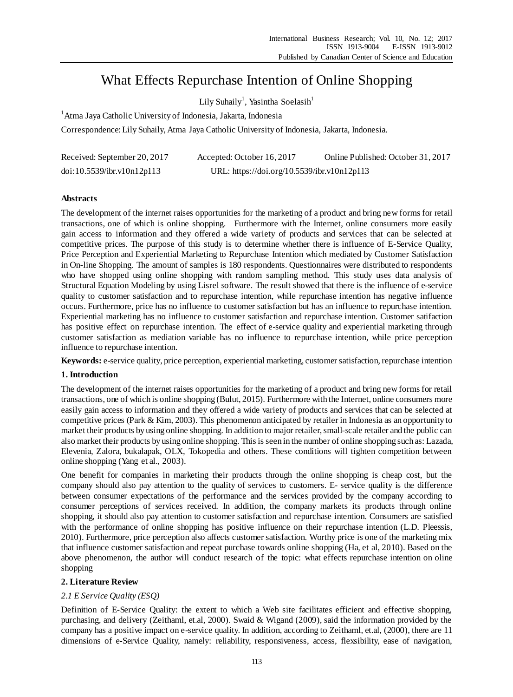# What Effects Repurchase Intention of Online Shopping

Lily Suhaily<sup>1</sup>, Yasintha Soelasih<sup>1</sup>

<sup>1</sup>Atma Jaya Catholic University of Indonesia, Jakarta, Indonesia

Correspondence:Lily Suhaily, Atma Jaya Catholic University of Indonesia, Jakarta, Indonesia.

| Received: September 20, 2017 | Accepted: October 16, 2017                  | Online Published: October 31, 2017 |
|------------------------------|---------------------------------------------|------------------------------------|
| doi:10.5539/ibr.v10n12p113   | URL: https://doi.org/10.5539/ibr.v10n12p113 |                                    |

# **Abstracts**

The development of the internet raises opportunities for the marketing of a product and bring new forms for retail transactions, one of which is online shopping. Furthermore with the Internet, online consumers more easily gain access to information and they offered a wide variety of products and services that can be selected at competitive prices. The purpose of this study is to determine whether there is influence of E-Service Quality, Price Perception and Experiential Marketing to Repurchase Intention which mediated by Customer Satisfaction in On-line Shopping. The amount of samples is 180 respondents. Questionnaires were distributed to respondents who have shopped using online shopping with random sampling method. This study uses data analysis of Structural Equation Modeling by using Lisrel software. The result showed that there is the influence of e-service quality to customer satisfaction and to repurchase intention, while repurchase intention has negative influence occurs. Furthermore, price has no influence to customer satisfaction but has an influence to repurchase intention. Experiential marketing has no influence to customer satisfaction and repurchase intention. Customer satifaction has positive effect on repurchase intention. The effect of e-service quality and experiential marketing through customer satisfaction as mediation variable has no influence to repurchase intention, while price perception influence to repurchase intention.

**Keywords:** e-service quality, price perception, experiential marketing, customer satisfaction, repurchase intention

## **1. Introduction**

The development of the internet raises opportunities for the marketing of a product and bring new forms for retail transactions, one of which is online shopping (Bulut, 2015). Furthermore with the Internet, online consumers more easily gain access to information and they offered a wide variety of products and services that can be selected at competitive prices (Park & Kim, 2003). This phenomenon anticipated by retailer in Indonesia as an opportunity to market their products by using online shopping. In addition to major retailer, small-scale retailer and the public can also market their products by using online shopping. This is seen in the number of online shopping such as: Lazada, Elevenia, Zalora, bukalapak, OLX, Tokopedia and others. These conditions will tighten competition between online shopping (Yang et al., 2003).

One benefit for companies in marketing their products through the online shopping is cheap cost, but the company should also pay attention to the quality of services to customers. E- service quality is the difference between consumer expectations of the performance and the services provided by the company according to consumer perceptions of services received. In addition, the company markets its products through online shopping, it should also pay attention to customer satisfaction and repurchase intention. Consumers are satisfied with the performance of online shopping has positive influence on their repurchase intention (L.D. Pleessis, 2010). Furthermore, price perception also affects customer satisfaction. Worthy price is one of the marketing mix that influence customer satisfaction and repeat purchase towards online shopping (Ha, et al, 2010). Based on the above phenomenon, the author will conduct research of the topic: what effects repurchase intention on oline shopping

# **2. Literature Review**

# *2.1 E Service Quality (ESQ)*

Definition of E-Service Quality: the extent to which a Web site facilitates efficient and effective shopping, purchasing, and delivery (Zeithaml, et.al, 2000). Swaid & Wigand (2009), said the information provided by the company has a positive impact on e-service quality. In addition, according to Zeithaml, et.al, (2000), there are 11 dimensions of e-Service Quality, namely: reliability, responsiveness, access, flexsibility, ease of navigation,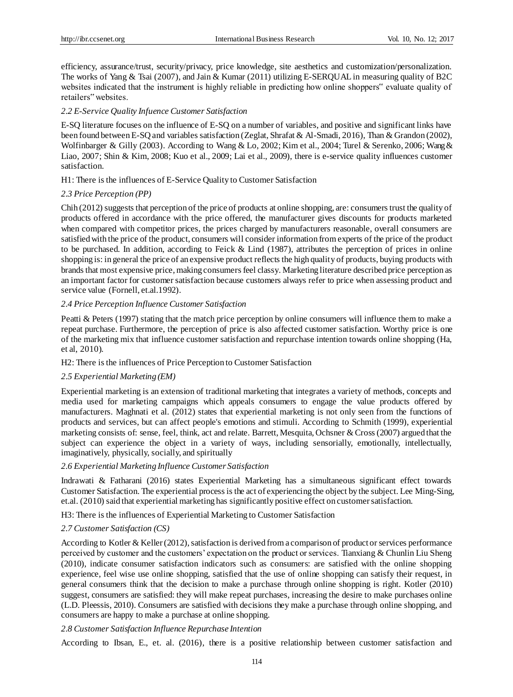efficiency, assurance/trust, security/privacy, price knowledge, site aesthetics and customization/personalization. The works of Yang & Tsai (2007), and Jain & Kumar (2011) utilizing E-SERQUAL in measuring quality of B2C websites indicated that the instrument is highly reliable in predicting how online shoppers" evaluate quality of retailers" websites.

# *2.2 E-Service Quality Infuence Customer Satisfaction*

E-SQ literature focuses on the influence of E-SQ on a number of variables, and positive and significant links have been found between E-SQ and variables satisfaction (Zeglat, Shrafat & Al-Smadi, 2016), Than & Grandon (2002), Wolfinbarger & Gilly (2003). According to Wang & Lo, 2002; Kim et al., 2004; Turel & Serenko, 2006; Wang & Liao, 2007; Shin & Kim, 2008; Kuo et al., 2009; Lai et al., 2009), there is e-service quality influences customer satisfaction.

H1: There is the influences of E-Service Quality to Customer Satisfaction

# *2.3 Price Perception (PP)*

Chih (2012) suggests that perception of the price of products at online shopping, are: consumers trust the quality of products offered in accordance with the price offered, the manufacturer gives discounts for products marketed when compared with competitor prices, the prices charged by manufacturers reasonable, overall consumers are satisfied with the price of the product, consumers will consider information from experts of the price of the product to be purchased. In addition, according to Feick & Lind (1987), attributes the perception of prices in online shopping is: in general the price of an expensive product reflects the high quality of products, buying products with brands that most expensive price, making consumers feel classy. Marketing literature described price perception as an important factor for customer satisfaction because customers always refer to price when assessing product and service value (Fornell, et.al.1992).

## *2.4 Price Perception Influence Customer Satisfaction*

Peatti & Peters (1997) stating that the match price perception by online consumers will influence them to make a repeat purchase. Furthermore, the perception of price is also affected customer satisfaction. Worthy price is one of the marketing mix that influence customer satisfaction and repurchase intention towards online shopping (Ha, et al, 2010).

## H2: There is the influences of Price Perception to Customer Satisfaction

# *2.5 Experiential Marketing (EM)*

Experiential marketing is an extension of traditional marketing that integrates a variety of methods, concepts and media used for marketing campaigns which appeals consumers to engage the value products offered by manufacturers. Maghnati et al. (2012) states that experiential marketing is not only seen from the functions of products and services, but can affect people's emotions and stimuli. According to Schmith (1999), experiential marketing consists of: sense, feel, think, act and relate. Barrett, Mesquita, Ochsner & Cross (2007) argued that the subject can experience the object in a variety of ways, including sensorially, emotionally, intellectually, imaginatively, physically, socially, and spiritually

## *2.6 Experiential Marketing Influence Customer Satisfaction*

Indrawati & Fatharani (2016) states Experiential Marketing has a simultaneous significant effect towards Customer Satisfaction. The experiential process is the act of experiencing the object by the subject. Lee Ming-Sing, et.al. (2010) said that experiential marketing has significantly positive effect on customer satisfaction.

H3: There is the influences of Experiential Marketing to Customer Satisfaction

# *2.7 Customer Satisfaction (CS)*

According to Kotler & Keller (2012), satisfaction is derived from a comparison of product or services performance perceived by customer and the customers' expectation on the product or services. Tianxiang & Chunlin Liu Sheng (2010), indicate consumer satisfaction indicators such as consumers: are satisfied with the online shopping experience, feel wise use online shopping, satisfied that the use of online shopping can satisfy their request, in general consumers think that the decision to make a purchase through online shopping is right. Kotler (2010) suggest, consumers are satisfied: they will make repeat purchases, increasing the desire to make purchases online (L.D. Pleessis, 2010). Consumers are satisfied with decisions they make a purchase through online shopping, and consumers are happy to make a purchase at online shopping.

## *2.8 Customer Satisfaction Influence Repurchase Intention*

According to Ibsan, E., et. al. (2016), there is a positive relationship between customer satisfaction and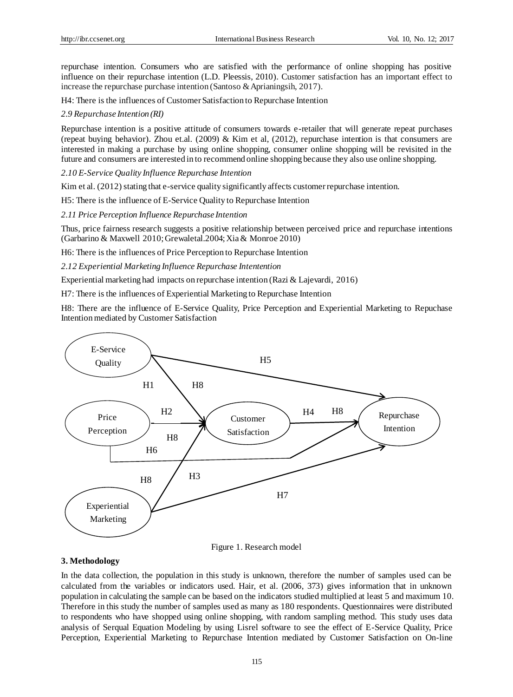repurchase intention. Consumers who are satisfied with the performance of online shopping has positive influence on their repurchase intention (L.D. Pleessis, 2010). Customer satisfaction has an important effect to increase the repurchase purchase intention (Santoso  $\&$  Aprianingsih, 2017).

H4: There is the influences of Customer Satisfaction to Repurchase Intention

#### *2.9 Repurchase Intention (RI)*

Repurchase intention is a positive attitude of consumers towards e-retailer that will generate repeat purchases (repeat buying behavior). Zhou et.al. (2009) & Kim et al, (2012), repurchase intention is that consumers are interested in making a purchase by using online shopping, consumer online shopping will be revisited in the future and consumers are interested in to recommend online shopping because they also use online shopping.

*2.10 E-Service Quality Influence Repurchase Intention* 

Kim et al. (2012) stating that e-service quality significantly affects customer repurchase intention.

H5: There is the influence of E-Service Quality to Repurchase Intention

*2.11 Price Perception Influence Repurchase Intention*

Thus, price fairness research suggests a positive relationship between perceived price and repurchase intentions (Garbarino & Maxwell 2010; Grewaletal.2004; Xia & Monroe 2010)

H6: There is the influences of Price Perception to Repurchase Intention

*2.12 Experiential Marketing Influence Repurchase Intentention*

Experiential marketing had impacts on repurchase intention (Razi & Lajevardi, 2016)

H7: There is the influences of Experiential Marketing to Repurchase Intention

H8: There are the influence of E-Service Quality, Price Perception and Experiential Marketing to Repuchase Intention mediated by Customer Satisfaction



Figure 1. Research model

#### **3. Methodology**

In the data collection, the population in this study is unknown, therefore the number of samples used can be calculated from the variables or indicators used. Hair, et al. (2006, 373) gives information that in unknown population in calculating the sample can be based on the indicators studied multiplied at least 5 and maximum 10. Therefore in this study the number of samples used as many as 180 respondents. Questionnaires were distributed to respondents who have shopped using online shopping, with random sampling method. This study uses data analysis of Serqual Equation Modeling by using Lisrel software to see the effect of E-Service Quality, Price Perception, Experiential Marketing to Repurchase Intention mediated by Customer Satisfaction on On-line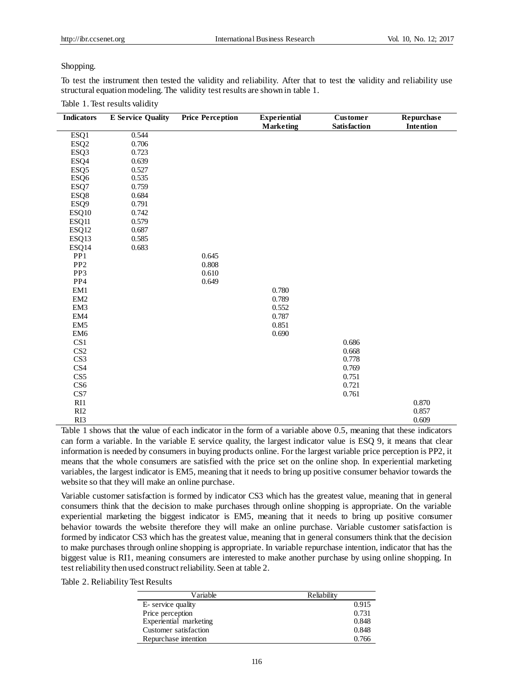### Shopping.

To test the instrument then tested the validity and reliability. After that to test the validity and reliability use structural equation modeling. The validity test results are shown in table 1.

Table 1. Test results validity

| <b>Indicators</b> | <b>E</b> Service Quality | <b>Price Perception</b> | <b>Experiential</b><br><b>Marketing</b> | Customer<br><b>Satisfaction</b> | Repurchase<br><b>Intention</b> |
|-------------------|--------------------------|-------------------------|-----------------------------------------|---------------------------------|--------------------------------|
| ESQ1              | 0.544                    |                         |                                         |                                 |                                |
| ESQ <sub>2</sub>  | 0.706                    |                         |                                         |                                 |                                |
| ESQ3              | 0.723                    |                         |                                         |                                 |                                |
| ESQ4              | 0.639                    |                         |                                         |                                 |                                |
| ESQ <sub>5</sub>  | 0.527                    |                         |                                         |                                 |                                |
| ESQ <sub>6</sub>  | 0.535                    |                         |                                         |                                 |                                |
| ESQ7              | 0.759                    |                         |                                         |                                 |                                |
| ESQ8              | 0.684                    |                         |                                         |                                 |                                |
| ESQ9              | 0.791                    |                         |                                         |                                 |                                |
| ESQ10             | 0.742                    |                         |                                         |                                 |                                |
| ESQ11             | 0.579                    |                         |                                         |                                 |                                |
| ESQ12             | 0.687                    |                         |                                         |                                 |                                |
| ESQ13             | 0.585                    |                         |                                         |                                 |                                |
| ESQ14             | 0.683                    |                         |                                         |                                 |                                |
| PP <sub>1</sub>   |                          | 0.645                   |                                         |                                 |                                |
| PP <sub>2</sub>   |                          | 0.808                   |                                         |                                 |                                |
| PP3               |                          | 0.610                   |                                         |                                 |                                |
| PP4               |                          | 0.649                   |                                         |                                 |                                |
| EM1               |                          |                         | 0.780                                   |                                 |                                |
| EM <sub>2</sub>   |                          |                         | 0.789                                   |                                 |                                |
| EM3               |                          |                         | 0.552                                   |                                 |                                |
| EM4               |                          |                         | 0.787                                   |                                 |                                |
| EM <sub>5</sub>   |                          |                         | 0.851                                   |                                 |                                |
| EM <sub>6</sub>   |                          |                         | 0.690                                   |                                 |                                |
| CS <sub>1</sub>   |                          |                         |                                         | 0.686                           |                                |
| CS <sub>2</sub>   |                          |                         |                                         | 0.668                           |                                |
| CS <sub>3</sub>   |                          |                         |                                         | 0.778                           |                                |
| CS4               |                          |                         |                                         | 0.769                           |                                |
| CS5               |                          |                         |                                         | 0.751                           |                                |
| CS <sub>6</sub>   |                          |                         |                                         | 0.721                           |                                |
| CS7               |                          |                         |                                         | 0.761                           |                                |
| RI1               |                          |                         |                                         |                                 | 0.870                          |
| RI2               |                          |                         |                                         |                                 | 0.857                          |
| RI3               |                          |                         |                                         |                                 | 0.609                          |

Table 1 shows that the value of each indicator in the form of a variable above 0.5, meaning that these indicators can form a variable. In the variable E service quality, the largest indicator value is ESQ 9, it means that clear information is needed by consumers in buying products online. For the largest variable price perception is PP2, it means that the whole consumers are satisfied with the price set on the online shop. In experiential marketing variables, the largest indicator is EM5, meaning that it needs to bring up positive consumer behavior towards the website so that they will make an online purchase.

Variable customer satisfaction is formed by indicator CS3 which has the greatest value, meaning that in general consumers think that the decision to make purchases through online shopping is appropriate. On the variable experiential marketing the biggest indicator is EM5, meaning that it needs to bring up positive consumer behavior towards the website therefore they will make an online purchase. Variable customer satisfaction is formed by indicator CS3 which has the greatest value, meaning that in general consumers think that the decision to make purchases through online shopping is appropriate. In variable repurchase intention, indicator that has the biggest value is RI1, meaning consumers are interested to make another purchase by using online shopping. In test reliability then used construct reliability. Seen at table 2.

Table 2. Reliability Test Results

| Variable               | Reliability |
|------------------------|-------------|
| E- service quality     | 0.915       |
| Price perception       | 0.731       |
| Experiential marketing | 0.848       |
| Customer satisfaction  | 0.848       |
| Repurchase intention   | 0.766       |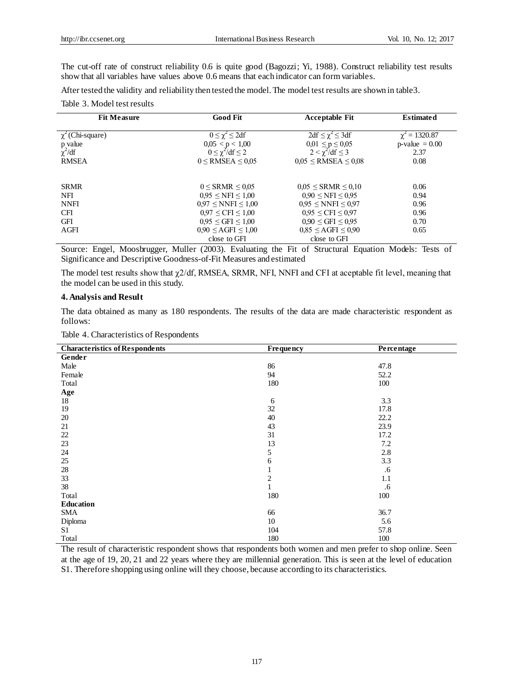The cut-off rate of construct reliability 0.6 is quite good (Bagozzi; Yi, 1988). Construct reliability test results show that all variables have values above 0.6 means that each indicator can form variables.

After tested the validity and reliability then tested the model. The model test results are shown in table3.

Table 3. Model test results

| <b>Fit Measure</b>            | <b>Good Fit</b>                                          | <b>Acceptable Fit</b>                                   | <b>Estimated</b>          |  |
|-------------------------------|----------------------------------------------------------|---------------------------------------------------------|---------------------------|--|
| $\chi^2$ (Chi-square)         | $0 \leq \chi^2 \leq 2df$                                 | $2df \leq \chi^2 \leq 3df$                              | $\gamma^2 = 1320.87$      |  |
| <i>p</i> value<br>$\chi^2/df$ | 0.05 < p < 1.00<br>$0 \leq \chi^2/df \leq 2$             | $0.01 \le p \le 0.05$<br>$2 < \gamma^2/df \leq 3$       | $p$ -value = 0.00<br>2.37 |  |
| <b>RMSEA</b>                  | $0 \leq$ RMSEA $\leq 0.05$                               | $0.05 \leq$ RMSEA $\leq 0.08$                           | 0.08                      |  |
| <b>SRMR</b>                   | $0 \leq$ SRMR $\leq 0.05$                                | $0.05 \leq$ SRMR $\leq 0.10$                            | 0.06                      |  |
| <b>NFI</b>                    | $0.95 \leq NFI \leq 1.00$                                | $0.90 \leq NFI \leq 0.95$                               | 0.94                      |  |
| <b>NNFI</b><br><b>CFI</b>     | $0.97 \leq NNFI \leq 1.00$                               | $0.95 \leq NNFI \leq 0.97$<br>$0.95 \leq CFI \leq 0.97$ | 0.96<br>0.96              |  |
| GFI                           | $0.97 \leq CFI \leq 1.00$<br>$0.95 \leq$ GFI $\leq 1.00$ | $0.90 \leq$ GFI $\leq 0.95$                             | 0.70                      |  |
| AGFI                          | $0.90 \leq \text{AGFI} \leq 1.00$<br>close to GFI        | $0.85 \leq \text{AGFI} \leq 0.90$<br>close to GFI       | 0.65                      |  |

Source: Engel, Moosbrugger, Muller (2003). Evaluating the Fit of Structural Equation Models: Tests of Significance and Descriptive Goodness-of-Fit Measures and estimated

The model test results show that χ2/df, RMSEA, SRMR, NFI, NNFI and CFI at aceptable fit level, meaning that the model can be used in this study.

#### **4. Analysis and Result**

The data obtained as many as 180 respondents. The results of the data are made characteristic respondent as follows:

Table 4. Characteristics of Respondents

| <b>Characteristics of Respondents</b> | Frequency      | Percentage |
|---------------------------------------|----------------|------------|
| Gender                                |                |            |
| Male                                  | 86             | 47.8       |
| Female                                | 94             | 52.2       |
| Total                                 | 180            | 100        |
| Age                                   |                |            |
| 18                                    | 6              | 3.3        |
| 19                                    | 32             | 17.8       |
| 20                                    | 40             | 22.2       |
| 21                                    | 43             | 23.9       |
| $22\,$                                | 31             | 17.2       |
| $23\,$                                | 13             | 7.2        |
| $24\,$                                | 5              | 2.8        |
| $25\,$                                | 6              | 3.3        |
| 28                                    |                | .6         |
| 33                                    | $\overline{c}$ | 1.1        |
| 38                                    |                | .6         |
| Total                                 | 180            | 100        |
| <b>Education</b>                      |                |            |
| <b>SMA</b>                            | 66             | 36.7       |
| Diploma                               | 10             | 5.6        |
| S1                                    | 104            | 57.8       |
| Total                                 | 180            | 100        |

The result of characteristic respondent shows that respondents both women and men prefer to shop online. Seen at the age of 19, 20, 21 and 22 years where they are millennial generation. This is seen at the level of education S1. Therefore shopping using online will they choose, because according to its characteristics.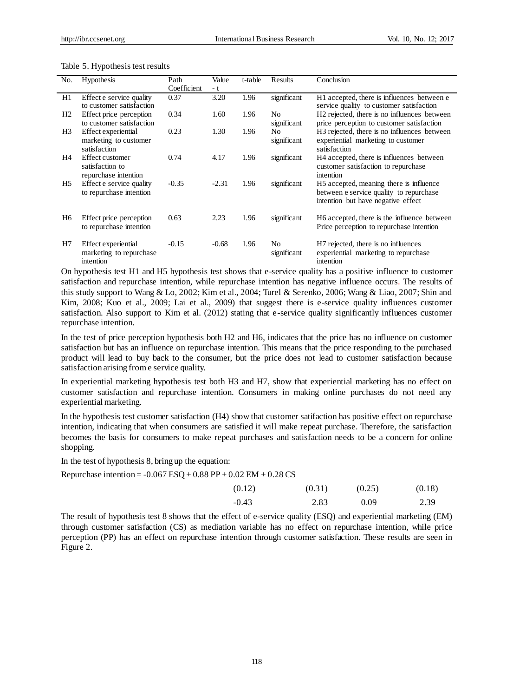| No.            | <b>Hypothesis</b>        | Path        | Value   | t-table | Results        | Conclusion                                              |
|----------------|--------------------------|-------------|---------|---------|----------------|---------------------------------------------------------|
|                |                          | Coefficient | - t     |         |                |                                                         |
| H1             | Effect e service quality | 0.37        | 3.20    | 1.96    | significant    | H1 accepted, there is influences between e              |
|                | to customer satisfaction |             |         |         |                | service quality to customer satisfaction                |
| H <sub>2</sub> | Effect price perception  | 0.34        | 1.60    | 1.96    | No.            | H <sub>2</sub> rejected, there is no influences between |
|                | to customer satisfaction |             |         |         | significant    | price perception to customer satisfaction               |
| H <sub>3</sub> | Effect experiential      | 0.23        | 1.30    | 1.96    | N <sub>0</sub> | H <sub>3</sub> rejected, there is no influences between |
|                | marketing to customer    |             |         |         | significant    | experiential marketing to customer                      |
|                | satisfaction             |             |         |         |                | satisfaction                                            |
| H4             | Effect customer          | 0.74        | 4.17    | 1.96    | significant    | H <sub>4</sub> accepted, there is influences between    |
|                | satisfaction to          |             |         |         |                | customer satisfaction to repurchase                     |
|                | repurchase intention     |             |         |         |                | intention                                               |
| H <sub>5</sub> | Effect e service quality | $-0.35$     | $-2.31$ | 1.96    | significant    | H <sub>5</sub> accepted, meaning there is influence     |
|                | to repurchase intention  |             |         |         |                | between e service quality to repurchase                 |
|                |                          |             |         |         |                | intention but have negative effect.                     |
|                |                          |             |         |         |                |                                                         |
| H <sub>6</sub> | Effect price perception  | 0.63        | 2.23    | 1.96    | significant    | H6 accepted, there is the influence between             |
|                | to repurchase intention  |             |         |         |                | Price perception to repurchase intention                |
|                |                          |             |         |         |                |                                                         |
| H7             | Effect experiential      | $-0.15$     | $-0.68$ | 1.96    | N <sub>0</sub> | H <sub>7</sub> rejected, there is no influences         |
|                | marketing to repurchase  |             |         |         | significant    | experiential marketing to repurchase                    |
|                | intention                |             |         |         |                | intention                                               |

#### Table 5. Hypothesis test results

On hypothesis test H1 and H5 hypothesis test shows that e-service quality has a positive influence to customer satisfaction and repurchase intention, while repurchase intention has negative influence occurs. The results of this study support to Wang & Lo, 2002; Kim et al., 2004; Turel & Serenko, 2006; Wang & Liao, 2007; Shin and Kim, 2008; Kuo et al., 2009; Lai et al., 2009) that suggest there is e-service quality influences customer satisfaction. Also support to Kim et al. (2012) stating that e-service quality significantly influences customer repurchase intention.

In the test of price perception hypothesis both H2 and H6, indicates that the price has no influence on customer satisfaction but has an influence on repurchase intention. This means that the price responding to the purchased product will lead to buy back to the consumer, but the price does not lead to customer satisfaction because satisfaction arising from e service quality.

In experiential marketing hypothesis test both H3 and H7, show that experiential marketing has no effect on customer satisfaction and repurchase intention. Consumers in making online purchases do not need any experiential marketing.

In the hypothesis test customer satisfaction (H4) show that customer satifaction has positive effect on repurchase intention, indicating that when consumers are satisfied it will make repeat purchase. Therefore, the satisfaction becomes the basis for consumers to make repeat purchases and satisfaction needs to be a concern for online shopping.

In the test of hypothesis 8, bring up the equation:

Repurchase intention =  $-0.067$  ESQ +  $0.88$  PP +  $0.02$  EM +  $0.28$  CS

| (0.12)  | $(0.31)$ $(0.25)$ |      | (0.18) |
|---------|-------------------|------|--------|
| $-0.43$ | 2.83              | 0.09 | 2.39   |

The result of hypothesis test 8 shows that the effect of e-service quality (ESQ) and experiential marketing (EM) through customer satisfaction (CS) as mediation variable has no effect on repurchase intention, while price perception (PP) has an effect on repurchase intention through customer satisfaction. These results are seen in Figure 2.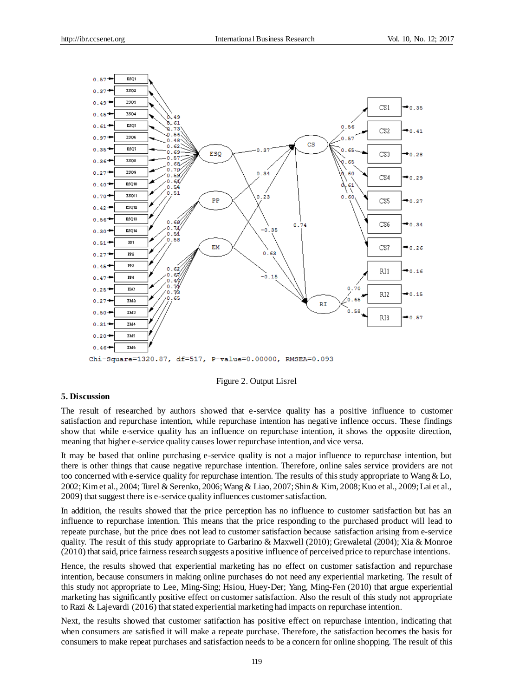

Chi-Square=1320.87, df=517, P-value=0.00000, RMSEA=0.093

#### Figure 2. Output Lisrel

#### **5. Discussion**

The result of researched by authors showed that e-service quality has a positive influence to customer satisfaction and repurchase intention, while repurchase intention has negative inflence occurs. These findings show that while e-service quality has an influence on repurchase intention, it shows the opposite direction, meaning that higher e-service quality causes lower repurchase intention, and vice versa.

It may be based that online purchasing e-service quality is not a major influence to repurchase intention, but there is other things that cause negative repurchase intention. Therefore, online sales service providers are not too concerned with e-service quality for repurchase intention. The results of this study appropriate to Wang  $&$  Lo, 2002; Kim et al., 2004; Turel & Serenko, 2006; Wang & Liao, 2007; Shin & Kim, 2008; Kuo et al., 2009; Lai et al., 2009) that suggest there is e-service quality influences customer satisfaction.

In addition, the results showed that the price perception has no influence to customer satisfaction but has an influence to repurchase intention. This means that the price responding to the purchased product will lead to repeate purchase, but the price does not lead to customer satisfaction because satisfaction arising from e-service quality. The result of this study appropriate to Garbarino & Maxwell (2010); Grewaletal (2004); Xia & Monroe (2010) that said, price fairness research suggests a positive influence of perceived price to repurchase intentions.

Hence, the results showed that experiential marketing has no effect on customer satisfaction and repurchase intention, because consumers in making online purchases do not need any experiential marketing. The result of this study not appropriate to Lee, Ming-Sing; Hsiou, Huey-Der; Yang, Ming-Fen (2010) that argue experiential marketing has significantly positive effect on customer satisfaction. Also the result of this study not appropriate to Razi & Lajevardi (2016) that stated experiential marketing had impacts on repurchase intention.

Next, the results showed that customer satifaction has positive effect on repurchase intention, indicating that when consumers are satisfied it will make a repeate purchase. Therefore, the satisfaction becomes the basis for consumers to make repeat purchases and satisfaction needs to be a concern for online shopping. The result of this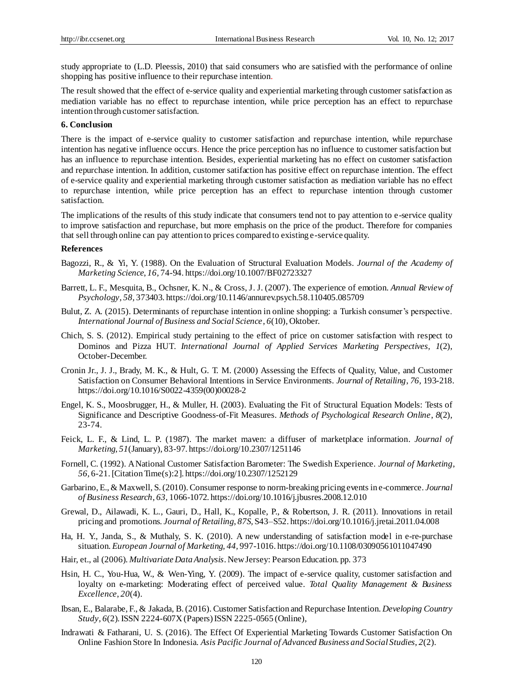study appropriate to (L.D. Pleessis, 2010) that said consumers who are satisfied with the performance of online shopping has positive influence to their repurchase intention.

The result showed that the effect of e-service quality and experiential marketing through customer satisfaction as mediation variable has no effect to repurchase intention, while price perception has an effect to repurchase intention through customer satisfaction.

#### **6. Conclusion**

There is the impact of e-service quality to customer satisfaction and repurchase intention, while repurchase intention has negative influence occurs. Hence the price perception has no influence to customer satisfaction but has an influence to repurchase intention. Besides, experiential marketing has no effect on customer satisfaction and repurchase intention. In addition, customer satifaction has positive effect on repurchase intention. The effect of e-service quality and experiential marketing through customer satisfaction as mediation variable has no effect to repurchase intention, while price perception has an effect to repurchase intention through customer satisfaction.

The implications of the results of this study indicate that consumers tend not to pay attention to e-service quality to improve satisfaction and repurchase, but more emphasis on the price of the product. Therefore for companies that sell through online can pay attention to prices compared to existing e-service quality.

### **References**

- Bagozzi, R., & Yi, Y. (1988). On the Evaluation of Structural Evaluation Models. *Journal of the Academy of Marketing Science*, *16,* 74-94. https://doi.org/10.1007/BF02723327
- Barrett, L. F., Mesquita, B., Ochsner, K. N., & Cross, J. J. (2007). The experience of emotion. *Annual Review of Psychology*, *58,* 373403. https://doi.org/10.1146/annurev.psych.58.110405.085709
- Bulut, Z. A. (2015). Determinants of repurchase intention in online shopping: a Turkish consumer's perspective. *International Journal of Business and Social Science*, *6*(10), Oktober.
- Chich, S. S. (2012). Empirical study pertaining to the effect of price on customer satisfaction with respect to Dominos and Pizza HUT. *International Journal of Applied Services Marketing Perspectives, 1*(2), October-December.
- Cronin Jr., J. J., Brady, M. K., & Hult, G. T. M. (2000) Assessing the Effects of Quality, Value, and Customer Satisfaction on Consumer Behavioral Intentions in Service Environments. *Journal of Retailing*, *76,* 193-218. https://doi.org/10.1016/S0022-4359(00)00028-2
- Engel, K. S., Moosbrugger, H., & Muller, H. (2003). Evaluating the Fit of Structural Equation Models: Tests of Significance and Descriptive Goodness-of-Fit Measures. *Methods of Psychological Research Online*, *8*(2), 23-74.
- Feick, L. F., & Lind, L. P. (1987). The market maven: a diffuser of marketplace information. *Journal of Marketing, 51*(January), 83-97. https://doi.org/10.2307/1251146
- Fornell, C. (1992). A National Customer Satisfaction Barometer: The Swedish Experience. *Journal of Marketing*, *56,* 6-21. [Citation Time(s):2]. https://doi.org/10.2307/1252129
- Garbarino, E., & Maxwell, S. (2010). Consumer response to norm-breaking pricing events in e-commerce. *Journal of Business Research*, *63,* 1066-1072. https://doi.org/10.1016/j.jbusres.2008.12.010
- Grewal, D., Ailawadi, K. L., Gauri, D., Hall, K., Kopalle, P., & Robertson, J. R. (2011). Innovations in retail pricing and promotions. *Journal of Retailing*, *87S,* S43–S52. https://doi.org/10.1016/j.jretai.2011.04.008
- Ha, H. Y., Janda, S., & Muthaly, S. K. (2010). A new understanding of satisfaction model in e-re-purchase situation. *European Journal of Marketing, 44,* 997-1016. https://doi.org/10.1108/03090561011047490
- Hair, et., al (2006). *Multivariate Data Analysis*. New Jersey: Pearson Education. pp. 373
- Hsin, H. C., You-Hua, W., & Wen-Ying, Y. (2009). The impact of e-service quality, customer satisfaction and loyalty on e-marketing: Moderating effect of perceived value. *Total Quality Management & Business Excellence*, *20*(4).
- Ibsan, E., Balarabe, F., & Jakada, B. (2016). Customer Satisfaction and Repurchase Intention. *Developing Country Study*, *6*(2). ISSN 2224-607X (Papers) ISSN 2225-0565 (Online),
- Indrawati & Fatharani, U. S. (2016). The Effect Of Experiential Marketing Towards Customer Satisfaction On Online Fashion Store In Indonesia. *Asis Pacific Journal of Advanced Business and Social Studies*, *2*(2).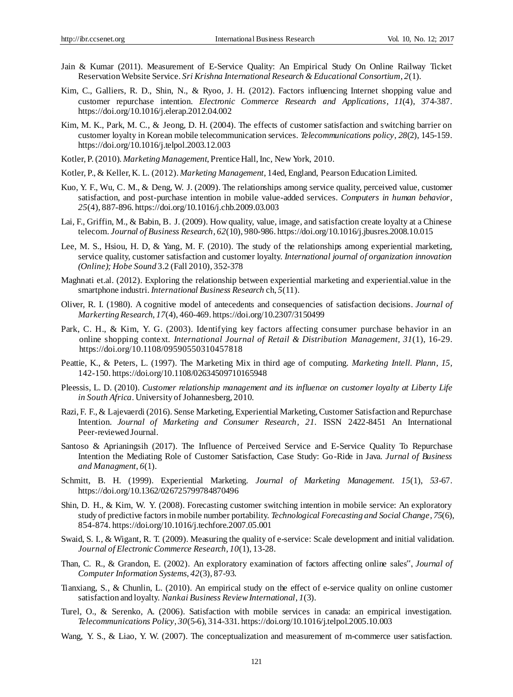- Jain & Kumar (2011). Measurement of E-Service Quality: An Empirical Study On Online Railway Ticket Reservation Website Service. *Sri Krishna International Research & Educational Consortium*, *2*(1).
- Kim, C., Galliers, R. D., Shin, N., & Ryoo, J. H. (2012). Factors influencing Internet shopping value and customer repurchase intention. *Electronic Commerce Research and Applications*, *11*(4), 374-387. https://doi.org/10.1016/j.elerap.2012.04.002
- Kim, M. K., Park, M. C., & Jeong, D. H. (2004). The effects of customer satisfaction and switching barrier on customer loyalty in Korean mobile telecommunication services. *Telecommunications policy*, *28*(2), 145-159. https://doi.org/10.1016/j.telpol.2003.12.003
- Kotler, P. (2010). *Marketing Management*, Prentice Hall, Inc, New York, 2010.
- Kotler, P., & Keller, K. L. (2012). *Marketing Management*, 14ed, England, Pearson Education Limited.
- Kuo, Y. F., Wu, C. M., & Deng, W. J. (2009). The relationships among service quality, perceived value, customer satisfaction, and post-purchase intention in mobile value-added services. *Computers in human behavior*, *25*(4), 887-896. https://doi.org/10.1016/j.chb.2009.03.003
- Lai, F., Griffin, M., & Babin, B. J. (2009). How quality, value, image, and satisfaction create loyalty at a Chinese telecom. *Journal of Business Research*, *62*(10), 980-986. https://doi.org/10.1016/j.jbusres.2008.10.015
- Lee, M. S., Hsiou, H. D, & Yang, M. F. (2010). The study of the relationships among experiential marketing, service quality, customer satisfaction and customer loyalty. *International journal of organization innovation (Online); Hobe Sound* 3.2 (Fall 2010), 352-378
- Maghnati et.al. (2012). Exploring the relationship between experiential marketing and experiential.value in the smartphone industri. *International Business Research* ch, *5*(11).
- Oliver, R. I. (1980). A cognitive model of antecedents and consequencies of satisfaction decisions. *Journal of Markerting Research*, *17*(4), 460-469. https://doi.org/10.2307/3150499
- Park, C. H., & Kim, Y. G. (2003). Identifying key factors affecting consumer purchase behavior in an online shopping context. *International Journal of Retail & Distribution Management, 31*(1), 16-29. https://doi.org/10.1108/09590550310457818
- Peattie, K., & Peters, L. (1997). The Marketing Mix in third age of computing. *Marketing Intell. Plann*, *15,* 142-150. https://doi.org/10.1108/02634509710165948
- Pleessis, L. D. (2010). *Customer relationship management and its influence on customer loyalty at Liberty Life in South Africa*. University of Johannesberg, 2010.
- Razi, F. F., & Lajevaerdi (2016). Sense Marketing, Experiential Marketing, Customer Satisfaction and Repurchase Intention. *Journal of Marketing and Consumer Research, 21.* ISSN 2422-8451 An International Peer-reviewed Journal.
- Santoso & Aprianingsih (2017). The Influence of Perceived Service and E-Service Quality To Repurchase Intention the Mediating Role of Customer Satisfaction, Case Study: Go-Ride in Java. *Jurnal of Business and Managment*, *6*(1).
- Schmitt, B. H. (1999). Experiential Marketing. *Journal of Marketing Management. 15*(1), *53*-67. https://doi.org/10.1362/026725799784870496
- Shin, D. H., & Kim, W. Y. (2008). Forecasting customer switching intention in mobile service: An exploratory study of predictive factors in mobile number portability. *Technological Forecasting and Social Change*, *75*(6), 854-874. https://doi.org/10.1016/j.techfore.2007.05.001
- Swaid, S. I., & Wigant, R. T. (2009). Measuring the quality of e-service: Scale development and initial validation. *Journal of Electronic Commerce Research*, *10*(1), 13-28.
- Than, C. R., & Grandon, E. (2002). An exploratory examination of factors affecting online sales", *Journal of Computer Information Systems*, *42*(3), 87-93.
- Tianxiang, S., & Chunlin, L. (2010). An empirical study on the effect of e-service quality on online customer satisfaction and loyalty. *Nankai Business Review International*, *1*(3).
- Turel, O., & Serenko, A. (2006). Satisfaction with mobile services in canada: an empirical investigation. *Telecommunications Policy*, *30*(5-6), 314-331. https://doi.org/10.1016/j.telpol.2005.10.003
- Wang, Y. S., & Liao, Y. W. (2007). The conceptualization and measurement of m-commerce user satisfaction.